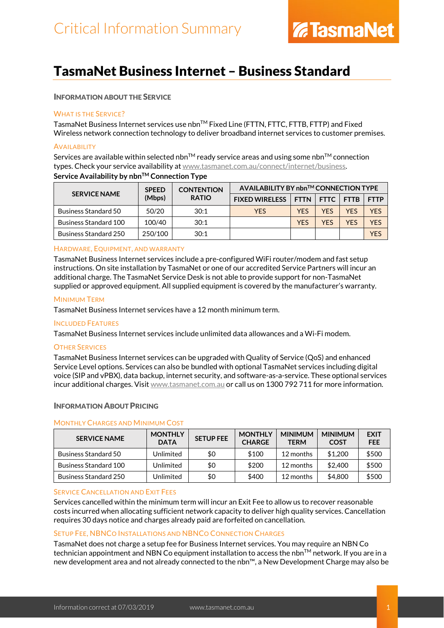# TasmaNet Business Internet – Business Standard

# INFORMATION ABOUT THE SERVICE

# WHAT IS THE SERVICE?

TasmaNet Business Internet services use nbnTM Fixed Line (FTTN, FTTC, FTTB, FTTP) and Fixed Wireless network connection technology to deliver broadband internet services to customer premises.

# **AVAILABILITY**

Services are available within selected nbn<sup>TM</sup> ready service areas and using some nbn<sup>TM</sup> connection types. Check your service availability a[t www.tasmanet.com.au/connect/internet/business.](https://www.tasmanet.com.au/connect/internet/business) **Service Availability by nbn™ Connection Type** 

| <b>SERVICE NAME</b>          | <b>SPEED</b><br>(Mbps) | <b>CONTENTION</b><br><b>RATIO</b> | AVAILABILITY BY nbn™ CONNECTION TYPE |            |             |             |             |
|------------------------------|------------------------|-----------------------------------|--------------------------------------|------------|-------------|-------------|-------------|
|                              |                        |                                   | <b>FIXED WIRELESS</b>                |            | FTTN   FTTC | <b>FTTB</b> | <b>FTTP</b> |
| <b>Business Standard 50</b>  | 50/20                  | 30:1                              | <b>YES</b>                           | <b>YES</b> | <b>YFS</b>  | <b>YFS</b>  | <b>YES</b>  |
| <b>Business Standard 100</b> | 100/40                 | 30:1                              |                                      | <b>YES</b> | <b>YFS</b>  | <b>YFS</b>  | <b>YES</b>  |
| Business Standard 250        | 250/100                | 30:1                              |                                      |            |             |             | <b>YES</b>  |

# HARDWARE, EQUIPMENT, AND WARRANTY

TasmaNet Business Internet services include a pre-configured WiFi router/modem and fast setup instructions. On site installation by TasmaNet or one of our accredited Service Partners will incur an additional charge. The TasmaNet Service Desk is not able to provide support for non-TasmaNet supplied or approved equipment. All supplied equipment is covered by the manufacturer's warranty.

#### MINIMUM TERM

TasmaNet Business Internet services have a 12 month minimum term.

#### INCLUDED FEATURES

TasmaNet Business Internet services include unlimited data allowances and a Wi-Fi modem.

#### **OTHER SERVICES**

TasmaNet Business Internet services can be upgraded with Quality of Service (QoS) and enhanced Service Level options. Services can also be bundled with optional TasmaNet services including digital voice (SIP and vPBX), data backup, internet security, and software-as-a-service. These optional services incur additional charges. Visi[t www.tasmanet.com.au](http://www.tasmanet.com.au/) or call us on 1300 792 711 for more information.

#### INFORMATION ABOUT PRICING

#### MONTHLY CHARGES AND MINIMUM COST

| <b>SERVICE NAME</b>          | <b>MONTHLY</b><br><b>DATA</b> | <b>SETUP FEE</b> | <b>MONTHLY</b><br><b>CHARGE</b> | <b>MINIMUM</b><br><b>TERM</b> | <b>MINIMUM</b><br><b>COST</b> | <b>EXIT</b><br><b>FEE</b> |
|------------------------------|-------------------------------|------------------|---------------------------------|-------------------------------|-------------------------------|---------------------------|
| Business Standard 50         | Unlimited                     | \$0              | \$100                           | 12 months                     | \$1,200                       | \$500                     |
| <b>Business Standard 100</b> | Unlimited                     | \$0              | \$200                           | 12 months                     | \$2,400                       | \$500                     |
| Business Standard 250        | Unlimited                     | \$0              | \$400                           | 12 months                     | \$4,800                       | \$500                     |

#### SERVICE CANCELLATION AND EXIT FEES

Services cancelled within the minimum term will incur an Exit Fee to allow us to recover reasonable costs incurred when allocating sufficient network capacity to deliver high quality services. Cancellation requires 30 days notice and charges already paid are forfeited on cancellation.

#### SETUP FEE, NBNCO INSTALLATIONS AND NBNCO CONNECTION CHARGES

TasmaNet does not charge a setup fee for Business Internet services. You may require an NBN Co technician appointment and NBN Co equipment installation to access the nbn™ network. If you are in a new development area and not already connected to the nbn™, a New Development Charge may also be